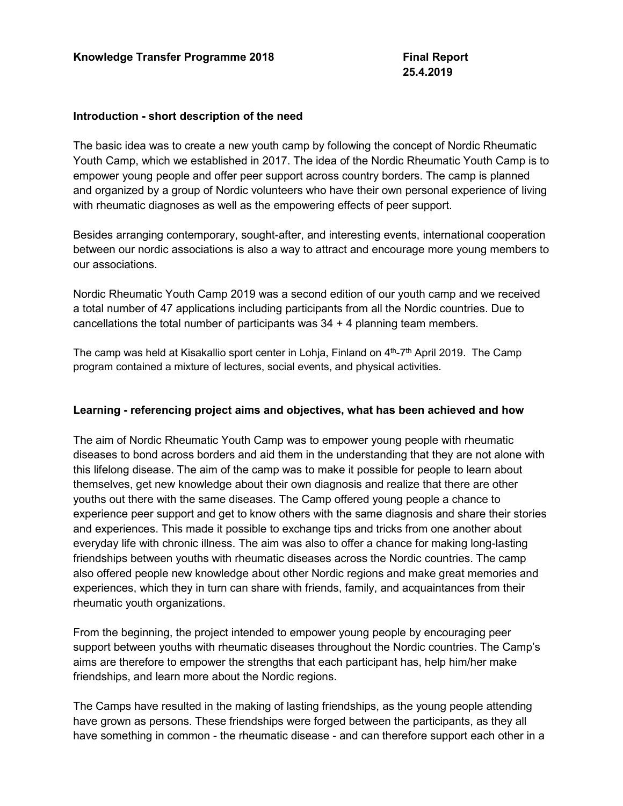#### **Introduction - short description of the need**

The basic idea was to create a new youth camp by following the concept of Nordic Rheumatic Youth Camp, which we established in 2017. The idea of the Nordic Rheumatic Youth Camp is to empower young people and offer peer support across country borders. The camp is planned and organized by a group of Nordic volunteers who have their own personal experience of living with rheumatic diagnoses as well as the empowering effects of peer support.

Besides arranging contemporary, sought-after, and interesting events, international cooperation between our nordic associations is also a way to attract and encourage more young members to our associations.

Nordic Rheumatic Youth Camp 2019 was a second edition of our youth camp and we received a total number of 47 applications including participants from all the Nordic countries. Due to cancellations the total number of participants was 34 + 4 planning team members.

The camp was held at Kisakallio sport center in Lohja, Finland on  $4<sup>th</sup>$ -7<sup>th</sup> April 2019. The Camp program contained a mixture of lectures, social events, and physical activities.

### **Learning - referencing project aims and objectives, what has been achieved and how**

The aim of Nordic Rheumatic Youth Camp was to empower young people with rheumatic diseases to bond across borders and aid them in the understanding that they are not alone with this lifelong disease. The aim of the camp was to make it possible for people to learn about themselves, get new knowledge about their own diagnosis and realize that there are other youths out there with the same diseases. The Camp offered young people a chance to experience peer support and get to know others with the same diagnosis and share their stories and experiences. This made it possible to exchange tips and tricks from one another about everyday life with chronic illness. The aim was also to offer a chance for making long-lasting friendships between youths with rheumatic diseases across the Nordic countries. The camp also offered people new knowledge about other Nordic regions and make great memories and experiences, which they in turn can share with friends, family, and acquaintances from their rheumatic youth organizations.

From the beginning, the project intended to empower young people by encouraging peer support between youths with rheumatic diseases throughout the Nordic countries. The Camp's aims are therefore to empower the strengths that each participant has, help him/her make friendships, and learn more about the Nordic regions.

The Camps have resulted in the making of lasting friendships, as the young people attending have grown as persons. These friendships were forged between the participants, as they all have something in common - the rheumatic disease - and can therefore support each other in a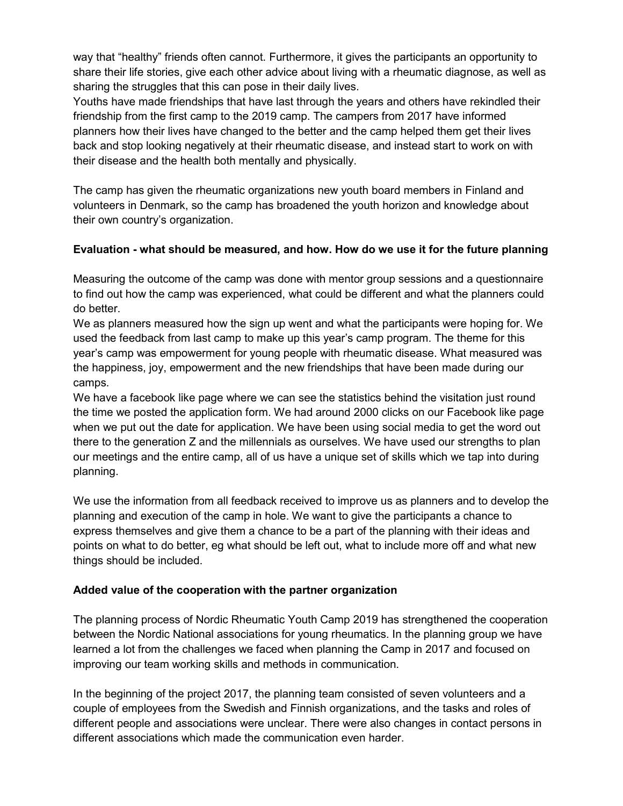way that "healthy" friends often cannot. Furthermore, it gives the participants an opportunity to share their life stories, give each other advice about living with a rheumatic diagnose, as well as sharing the struggles that this can pose in their daily lives.

Youths have made friendships that have last through the years and others have rekindled their friendship from the first camp to the 2019 camp. The campers from 2017 have informed planners how their lives have changed to the better and the camp helped them get their lives back and stop looking negatively at their rheumatic disease, and instead start to work on with their disease and the health both mentally and physically.

The camp has given the rheumatic organizations new youth board members in Finland and volunteers in Denmark, so the camp has broadened the youth horizon and knowledge about their own country's organization.

## **Evaluation - what should be measured, and how. How do we use it for the future planning**

Measuring the outcome of the camp was done with mentor group sessions and a questionnaire to find out how the camp was experienced, what could be different and what the planners could do better.

We as planners measured how the sign up went and what the participants were hoping for. We used the feedback from last camp to make up this year's camp program. The theme for this year's camp was empowerment for young people with rheumatic disease. What measured was the happiness, joy, empowerment and the new friendships that have been made during our camps.

We have a facebook like page where we can see the statistics behind the visitation just round the time we posted the application form. We had around 2000 clicks on our Facebook like page when we put out the date for application. We have been using social media to get the word out there to the generation Z and the millennials as ourselves. We have used our strengths to plan our meetings and the entire camp, all of us have a unique set of skills which we tap into during planning.

We use the information from all feedback received to improve us as planners and to develop the planning and execution of the camp in hole. We want to give the participants a chance to express themselves and give them a chance to be a part of the planning with their ideas and points on what to do better, eg what should be left out, what to include more off and what new things should be included.

## **Added value of the cooperation with the partner organization**

The planning process of Nordic Rheumatic Youth Camp 2019 has strengthened the cooperation between the Nordic National associations for young rheumatics. In the planning group we have learned a lot from the challenges we faced when planning the Camp in 2017 and focused on improving our team working skills and methods in communication.

In the beginning of the project 2017, the planning team consisted of seven volunteers and a couple of employees from the Swedish and Finnish organizations, and the tasks and roles of different people and associations were unclear. There were also changes in contact persons in different associations which made the communication even harder.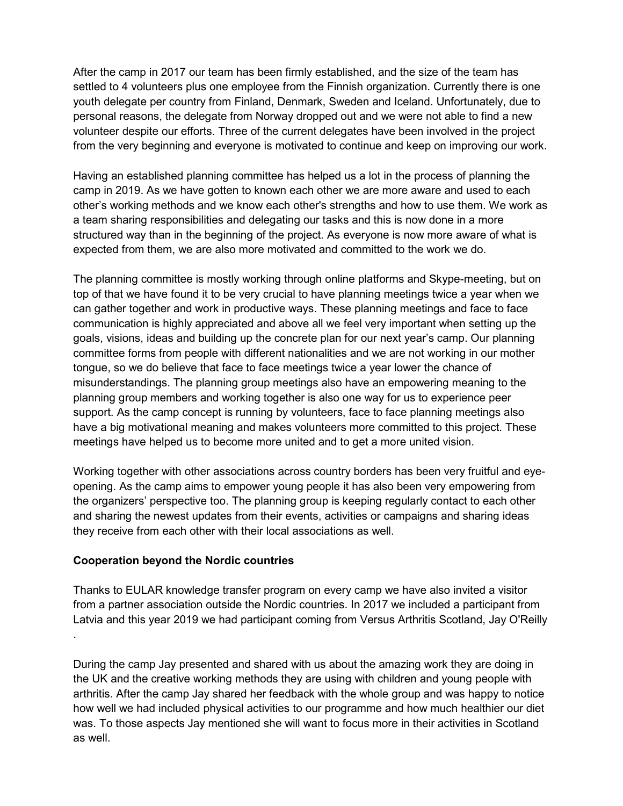After the camp in 2017 our team has been firmly established, and the size of the team has settled to 4 volunteers plus one employee from the Finnish organization. Currently there is one youth delegate per country from Finland, Denmark, Sweden and Iceland. Unfortunately, due to personal reasons, the delegate from Norway dropped out and we were not able to find a new volunteer despite our efforts. Three of the current delegates have been involved in the project from the very beginning and everyone is motivated to continue and keep on improving our work.

Having an established planning committee has helped us a lot in the process of planning the camp in 2019. As we have gotten to known each other we are more aware and used to each other's working methods and we know each other's strengths and how to use them. We work as a team sharing responsibilities and delegating our tasks and this is now done in a more structured way than in the beginning of the project. As everyone is now more aware of what is expected from them, we are also more motivated and committed to the work we do.

The planning committee is mostly working through online platforms and Skype-meeting, but on top of that we have found it to be very crucial to have planning meetings twice a year when we can gather together and work in productive ways. These planning meetings and face to face communication is highly appreciated and above all we feel very important when setting up the goals, visions, ideas and building up the concrete plan for our next year's camp. Our planning committee forms from people with different nationalities and we are not working in our mother tongue, so we do believe that face to face meetings twice a year lower the chance of misunderstandings. The planning group meetings also have an empowering meaning to the planning group members and working together is also one way for us to experience peer support. As the camp concept is running by volunteers, face to face planning meetings also have a big motivational meaning and makes volunteers more committed to this project. These meetings have helped us to become more united and to get a more united vision.

Working together with other associations across country borders has been very fruitful and eyeopening. As the camp aims to empower young people it has also been very empowering from the organizers' perspective too. The planning group is keeping regularly contact to each other and sharing the newest updates from their events, activities or campaigns and sharing ideas they receive from each other with their local associations as well.

### **Cooperation beyond the Nordic countries**

Thanks to EULAR knowledge transfer program on every camp we have also invited a visitor from a partner association outside the Nordic countries. In 2017 we included a participant from Latvia and this year 2019 we had participant coming from Versus Arthritis Scotland, Jay O'Reilly .

During the camp Jay presented and shared with us about the amazing work they are doing in the UK and the creative working methods they are using with children and young people with arthritis. After the camp Jay shared her feedback with the whole group and was happy to notice how well we had included physical activities to our programme and how much healthier our diet was. To those aspects Jay mentioned she will want to focus more in their activities in Scotland as well.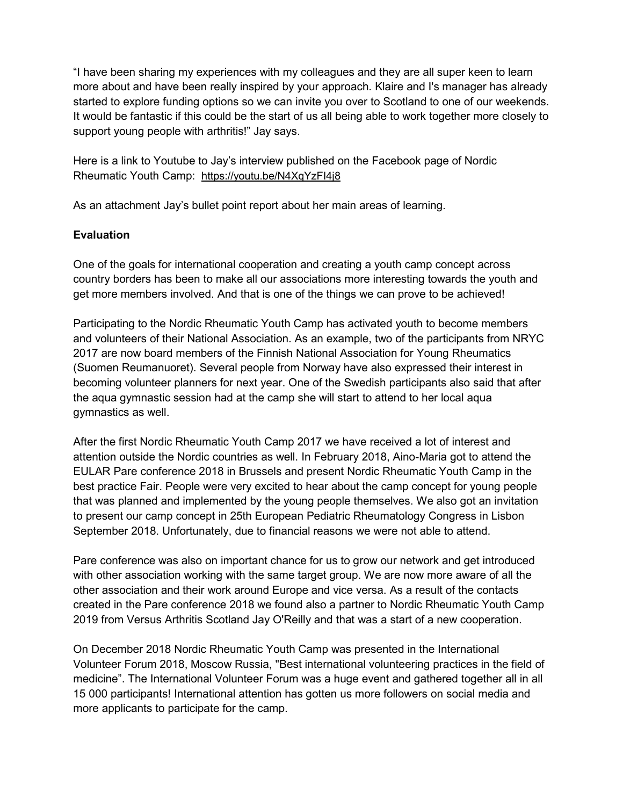"I have been sharing my experiences with my colleagues and they are all super keen to learn more about and have been really inspired by your approach. Klaire and I's manager has already started to explore funding options so we can invite you over to Scotland to one of our weekends. It would be fantastic if this could be the start of us all being able to work together more closely to support young people with arthritis!" Jay says.

Here is a link to Youtube to Jay's interview published on the Facebook page of Nordic Rheumatic Youth Camp: <https://youtu.be/N4XqYzFI4j8>

As an attachment Jay's bullet point report about her main areas of learning.

# **Evaluation**

One of the goals for international cooperation and creating a youth camp concept across country borders has been to make all our associations more interesting towards the youth and get more members involved. And that is one of the things we can prove to be achieved!

Participating to the Nordic Rheumatic Youth Camp has activated youth to become members and volunteers of their National Association. As an example, two of the participants from NRYC 2017 are now board members of the Finnish National Association for Young Rheumatics (Suomen Reumanuoret). Several people from Norway have also expressed their interest in becoming volunteer planners for next year. One of the Swedish participants also said that after the aqua gymnastic session had at the camp she will start to attend to her local aqua gymnastics as well.

After the first Nordic Rheumatic Youth Camp 2017 we have received a lot of interest and attention outside the Nordic countries as well. In February 2018, Aino-Maria got to attend the EULAR Pare conference 2018 in Brussels and present Nordic Rheumatic Youth Camp in the best practice Fair. People were very excited to hear about the camp concept for young people that was planned and implemented by the young people themselves. We also got an invitation to present our camp concept in 25th European Pediatric Rheumatology Congress in Lisbon September 2018. Unfortunately, due to financial reasons we were not able to attend.

Pare conference was also on important chance for us to grow our network and get introduced with other association working with the same target group. We are now more aware of all the other association and their work around Europe and vice versa. As a result of the contacts created in the Pare conference 2018 we found also a partner to Nordic Rheumatic Youth Camp 2019 from Versus Arthritis Scotland Jay O'Reilly and that was a start of a new cooperation.

On December 2018 Nordic Rheumatic Youth Camp was presented in the International Volunteer Forum 2018, Moscow Russia, "Best international volunteering practices in the field of medicine". The International Volunteer Forum was a huge event and gathered together all in all 15 000 participants! International attention has gotten us more followers on social media and more applicants to participate for the camp.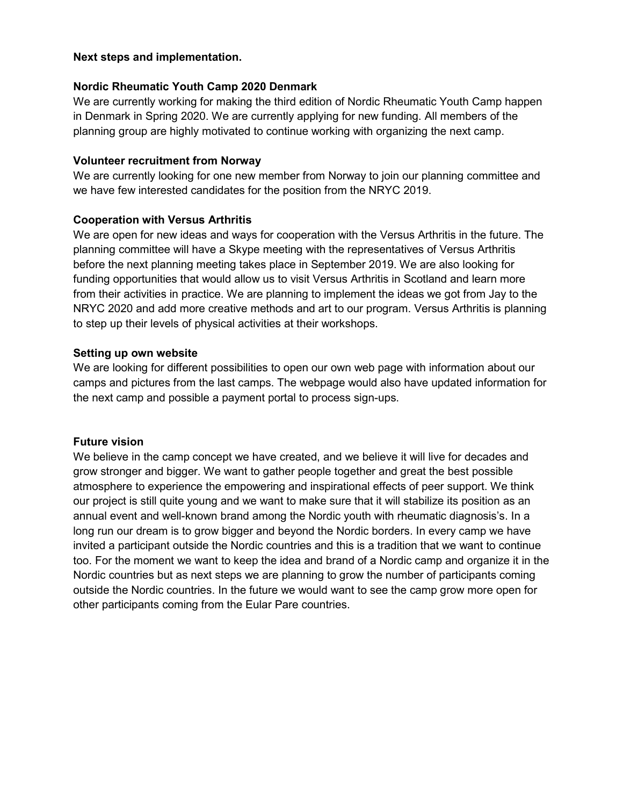#### **Next steps and implementation.**

#### **Nordic Rheumatic Youth Camp 2020 Denmark**

We are currently working for making the third edition of Nordic Rheumatic Youth Camp happen in Denmark in Spring 2020. We are currently applying for new funding. All members of the planning group are highly motivated to continue working with organizing the next camp.

#### **Volunteer recruitment from Norway**

We are currently looking for one new member from Norway to join our planning committee and we have few interested candidates for the position from the NRYC 2019.

#### **Cooperation with Versus Arthritis**

We are open for new ideas and ways for cooperation with the Versus Arthritis in the future. The planning committee will have a Skype meeting with the representatives of Versus Arthritis before the next planning meeting takes place in September 2019. We are also looking for funding opportunities that would allow us to visit Versus Arthritis in Scotland and learn more from their activities in practice. We are planning to implement the ideas we got from Jay to the NRYC 2020 and add more creative methods and art to our program. Versus Arthritis is planning to step up their levels of physical activities at their workshops.

#### **Setting up own website**

We are looking for different possibilities to open our own web page with information about our camps and pictures from the last camps. The webpage would also have updated information for the next camp and possible a payment portal to process sign-ups.

### **Future vision**

We believe in the camp concept we have created, and we believe it will live for decades and grow stronger and bigger. We want to gather people together and great the best possible atmosphere to experience the empowering and inspirational effects of peer support. We think our project is still quite young and we want to make sure that it will stabilize its position as an annual event and well-known brand among the Nordic youth with rheumatic diagnosis's. In a long run our dream is to grow bigger and beyond the Nordic borders. In every camp we have invited a participant outside the Nordic countries and this is a tradition that we want to continue too. For the moment we want to keep the idea and brand of a Nordic camp and organize it in the Nordic countries but as next steps we are planning to grow the number of participants coming outside the Nordic countries. In the future we would want to see the camp grow more open for other participants coming from the Eular Pare countries.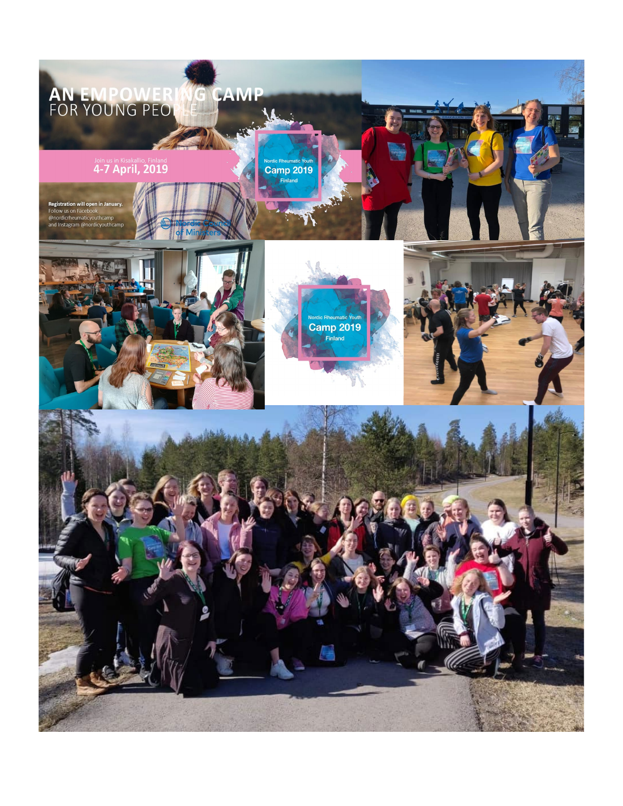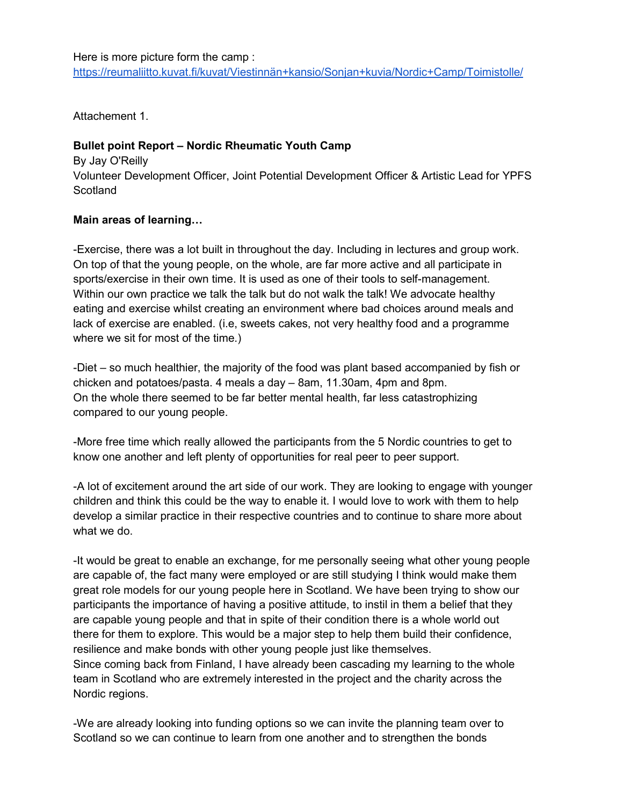Attachement 1.

# **Bullet point Report – Nordic Rheumatic Youth Camp**

By Jay O'Reilly Volunteer Development Officer, Joint Potential Development Officer & Artistic Lead for YPFS **Scotland** 

# **Main areas of learning…**

-Exercise, there was a lot built in throughout the day. Including in lectures and group work. On top of that the young people, on the whole, are far more active and all participate in sports/exercise in their own time. It is used as one of their tools to self-management. Within our own practice we talk the talk but do not walk the talk! We advocate healthy eating and exercise whilst creating an environment where bad choices around meals and lack of exercise are enabled. (i.e, sweets cakes, not very healthy food and a programme where we sit for most of the time.)

-Diet – so much healthier, the majority of the food was plant based accompanied by fish or chicken and potatoes/pasta. 4 meals a day – 8am, 11.30am, 4pm and 8pm. On the whole there seemed to be far better mental health, far less catastrophizing compared to our young people.

-More free time which really allowed the participants from the 5 Nordic countries to get to know one another and left plenty of opportunities for real peer to peer support.

-A lot of excitement around the art side of our work. They are looking to engage with younger children and think this could be the way to enable it. I would love to work with them to help develop a similar practice in their respective countries and to continue to share more about what we do.

-It would be great to enable an exchange, for me personally seeing what other young people are capable of, the fact many were employed or are still studying I think would make them great role models for our young people here in Scotland. We have been trying to show our participants the importance of having a positive attitude, to instil in them a belief that they are capable young people and that in spite of their condition there is a whole world out there for them to explore. This would be a major step to help them build their confidence, resilience and make bonds with other young people just like themselves. Since coming back from Finland, I have already been cascading my learning to the whole team in Scotland who are extremely interested in the project and the charity across the Nordic regions.

-We are already looking into funding options so we can invite the planning team over to Scotland so we can continue to learn from one another and to strengthen the bonds